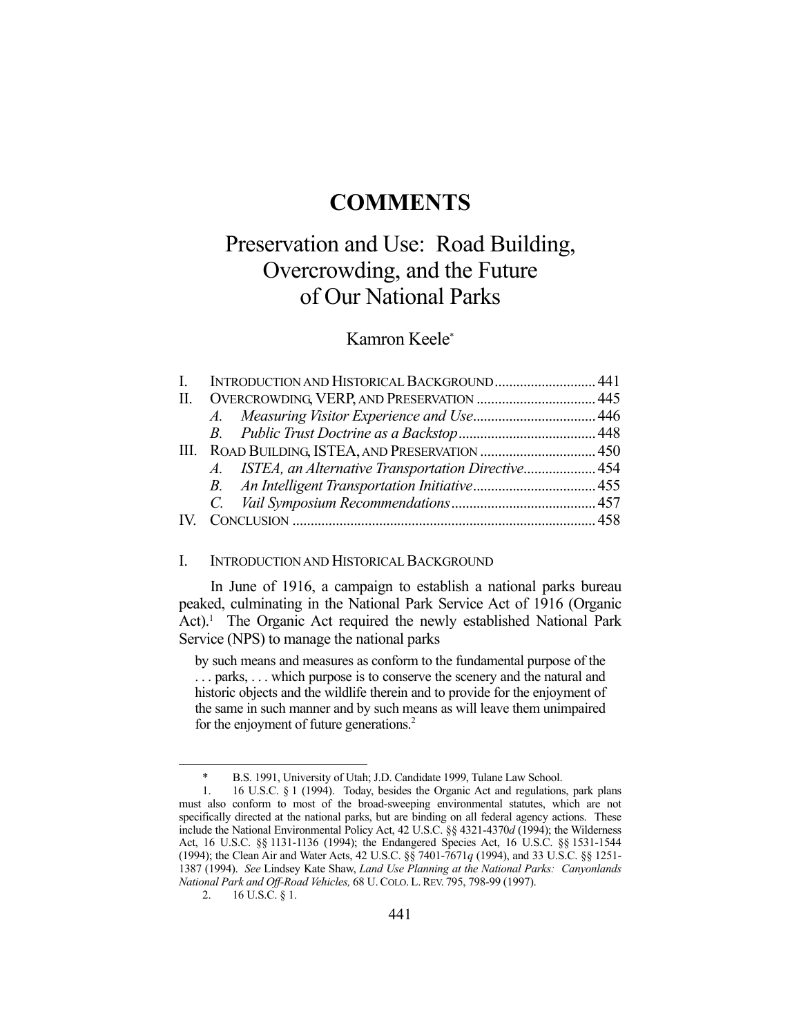# **COMMENTS**

# Preservation and Use: Road Building, Overcrowding, and the Future of Our National Parks

# Kamron Keele\*

|                         | I. INTRODUCTION AND HISTORICAL BACKGROUND 441 |  |
|-------------------------|-----------------------------------------------|--|
|                         |                                               |  |
|                         |                                               |  |
|                         |                                               |  |
|                         |                                               |  |
|                         |                                               |  |
|                         |                                               |  |
|                         |                                               |  |
| $\mathbf{I} \mathbf{V}$ |                                               |  |
|                         |                                               |  |

## I. INTRODUCTION AND HISTORICAL BACKGROUND

 In June of 1916, a campaign to establish a national parks bureau peaked, culminating in the National Park Service Act of 1916 (Organic Act).<sup>1</sup> The Organic Act required the newly established National Park Service (NPS) to manage the national parks

by such means and measures as conform to the fundamental purpose of the . . . parks, . . . which purpose is to conserve the scenery and the natural and historic objects and the wildlife therein and to provide for the enjoyment of the same in such manner and by such means as will leave them unimpaired for the enjoyment of future generations.<sup>2</sup>

 <sup>\*</sup> B.S. 1991, University of Utah; J.D. Candidate 1999, Tulane Law School.

 <sup>1. 16</sup> U.S.C. § 1 (1994). Today, besides the Organic Act and regulations, park plans must also conform to most of the broad-sweeping environmental statutes, which are not specifically directed at the national parks, but are binding on all federal agency actions. These include the National Environmental Policy Act, 42 U.S.C. §§ 4321-4370*d* (1994); the Wilderness Act, 16 U.S.C. §§ 1131-1136 (1994); the Endangered Species Act, 16 U.S.C. §§ 1531-1544 (1994); the Clean Air and Water Acts, 42 U.S.C. §§ 7401-7671*q* (1994), and 33 U.S.C. §§ 1251- 1387 (1994). *See* Lindsey Kate Shaw, *Land Use Planning at the National Parks: Canyonlands National Park and Off-Road Vehicles,* 68 U.COLO. L.REV. 795, 798-99 (1997).

 <sup>2. 16</sup> U.S.C. § 1.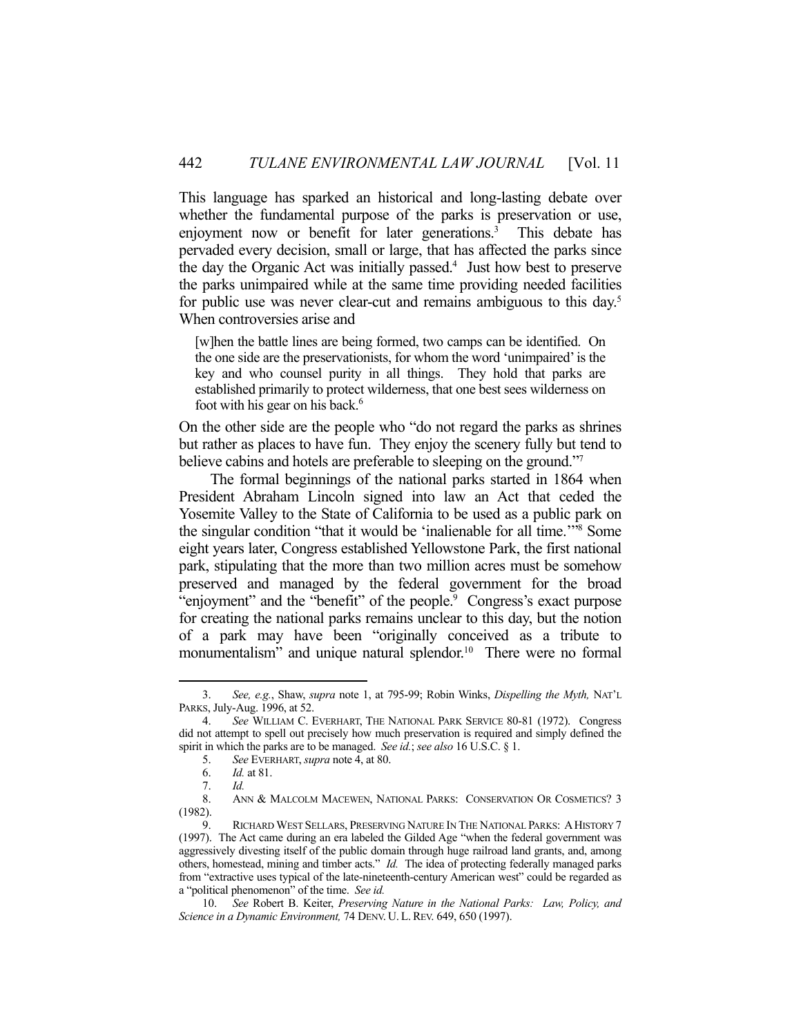This language has sparked an historical and long-lasting debate over whether the fundamental purpose of the parks is preservation or use, enjoyment now or benefit for later generations.<sup>3</sup> This debate has pervaded every decision, small or large, that has affected the parks since the day the Organic Act was initially passed.<sup>4</sup> Just how best to preserve the parks unimpaired while at the same time providing needed facilities for public use was never clear-cut and remains ambiguous to this day.<sup>5</sup> When controversies arise and

[w]hen the battle lines are being formed, two camps can be identified. On the one side are the preservationists, for whom the word 'unimpaired' is the key and who counsel purity in all things. They hold that parks are established primarily to protect wilderness, that one best sees wilderness on foot with his gear on his back.<sup>6</sup>

On the other side are the people who "do not regard the parks as shrines but rather as places to have fun. They enjoy the scenery fully but tend to believe cabins and hotels are preferable to sleeping on the ground."<sup>7</sup>

 The formal beginnings of the national parks started in 1864 when President Abraham Lincoln signed into law an Act that ceded the Yosemite Valley to the State of California to be used as a public park on the singular condition "that it would be 'inalienable for all time.'"8 Some eight years later, Congress established Yellowstone Park, the first national park, stipulating that the more than two million acres must be somehow preserved and managed by the federal government for the broad "enjoyment" and the "benefit" of the people.<sup>9</sup> Congress's exact purpose for creating the national parks remains unclear to this day, but the notion of a park may have been "originally conceived as a tribute to monumentalism" and unique natural splendor.<sup>10</sup> There were no formal

 <sup>3.</sup> *See, e.g.*, Shaw, *supra* note 1, at 795-99; Robin Winks, *Dispelling the Myth,* NAT'L PARKS, July-Aug. 1996, at 52.

 <sup>4.</sup> *See* WILLIAM C. EVERHART, THE NATIONAL PARK SERVICE 80-81 (1972). Congress did not attempt to spell out precisely how much preservation is required and simply defined the spirit in which the parks are to be managed. *See id.*; *see also* 16 U.S.C. § 1.

 <sup>5.</sup> *See* EVERHART, *supra* note 4, at 80.

 <sup>6.</sup> *Id.* at 81.

 <sup>7.</sup> *Id.*

ANN & MALCOLM MACEWEN, NATIONAL PARKS: CONSERVATION OR COSMETICS? 3 (1982).

 <sup>9.</sup> RICHARD WEST SELLARS, PRESERVING NATURE IN THE NATIONAL PARKS: AHISTORY 7 (1997). The Act came during an era labeled the Gilded Age "when the federal government was aggressively divesting itself of the public domain through huge railroad land grants, and, among others, homestead, mining and timber acts." *Id.* The idea of protecting federally managed parks from "extractive uses typical of the late-nineteenth-century American west" could be regarded as a "political phenomenon" of the time. *See id.*

 <sup>10.</sup> *See* Robert B. Keiter, *Preserving Nature in the National Parks: Law, Policy, and Science in a Dynamic Environment,* 74 DENV. U. L.REV. 649, 650 (1997).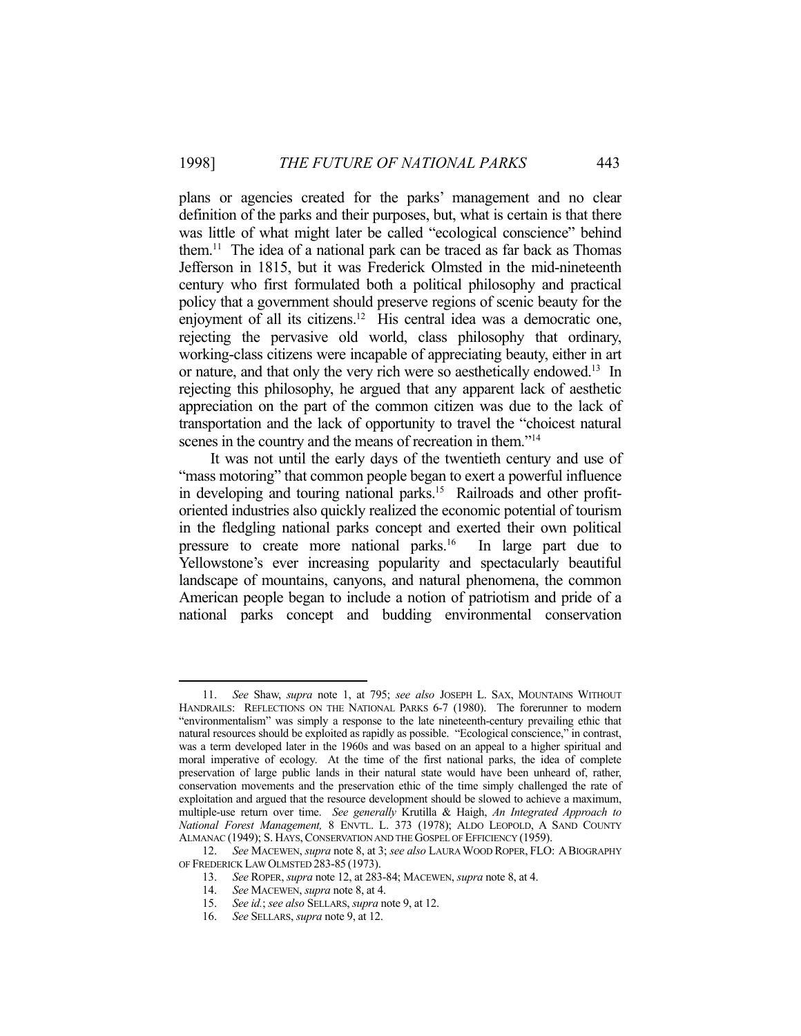plans or agencies created for the parks' management and no clear definition of the parks and their purposes, but, what is certain is that there was little of what might later be called "ecological conscience" behind them.11 The idea of a national park can be traced as far back as Thomas Jefferson in 1815, but it was Frederick Olmsted in the mid-nineteenth century who first formulated both a political philosophy and practical policy that a government should preserve regions of scenic beauty for the enjoyment of all its citizens.<sup>12</sup> His central idea was a democratic one, rejecting the pervasive old world, class philosophy that ordinary, working-class citizens were incapable of appreciating beauty, either in art or nature, and that only the very rich were so aesthetically endowed.13 In rejecting this philosophy, he argued that any apparent lack of aesthetic appreciation on the part of the common citizen was due to the lack of transportation and the lack of opportunity to travel the "choicest natural scenes in the country and the means of recreation in them."<sup>14</sup>

 It was not until the early days of the twentieth century and use of "mass motoring" that common people began to exert a powerful influence in developing and touring national parks.<sup>15</sup> Railroads and other profitoriented industries also quickly realized the economic potential of tourism in the fledgling national parks concept and exerted their own political pressure to create more national parks.<sup>16</sup> In large part due to Yellowstone's ever increasing popularity and spectacularly beautiful landscape of mountains, canyons, and natural phenomena, the common American people began to include a notion of patriotism and pride of a national parks concept and budding environmental conservation

<sup>&</sup>lt;u>.</u> 11. *See* Shaw, *supra* note 1, at 795; *see also* JOSEPH L. SAX, MOUNTAINS WITHOUT HANDRAILS: REFLECTIONS ON THE NATIONAL PARKS 6-7 (1980). The forerunner to modern "environmentalism" was simply a response to the late nineteenth-century prevailing ethic that natural resources should be exploited as rapidly as possible. "Ecological conscience," in contrast, was a term developed later in the 1960s and was based on an appeal to a higher spiritual and moral imperative of ecology. At the time of the first national parks, the idea of complete preservation of large public lands in their natural state would have been unheard of, rather, conservation movements and the preservation ethic of the time simply challenged the rate of exploitation and argued that the resource development should be slowed to achieve a maximum, multiple-use return over time. *See generally* Krutilla & Haigh, *An Integrated Approach to National Forest Management,* 8 ENVTL. L. 373 (1978); ALDO LEOPOLD, A SAND COUNTY ALMANAC (1949); S. HAYS, CONSERVATION AND THE GOSPEL OF EFFICIENCY (1959).

 <sup>12.</sup> *See* MACEWEN, *supra* note 8, at 3; *see also* LAURA WOOD ROPER, FLO: ABIOGRAPHY OF FREDERICK LAW OLMSTED 283-85 (1973).

 <sup>13.</sup> *See* ROPER, *supra* note 12, at 283-84; MACEWEN, *supra* note 8, at 4.

 <sup>14.</sup> *See* MACEWEN, *supra* note 8, at 4.

 <sup>15.</sup> *See id.*; *see also* SELLARS, *supra* note 9, at 12.

 <sup>16.</sup> *See* SELLARS, *supra* note 9, at 12.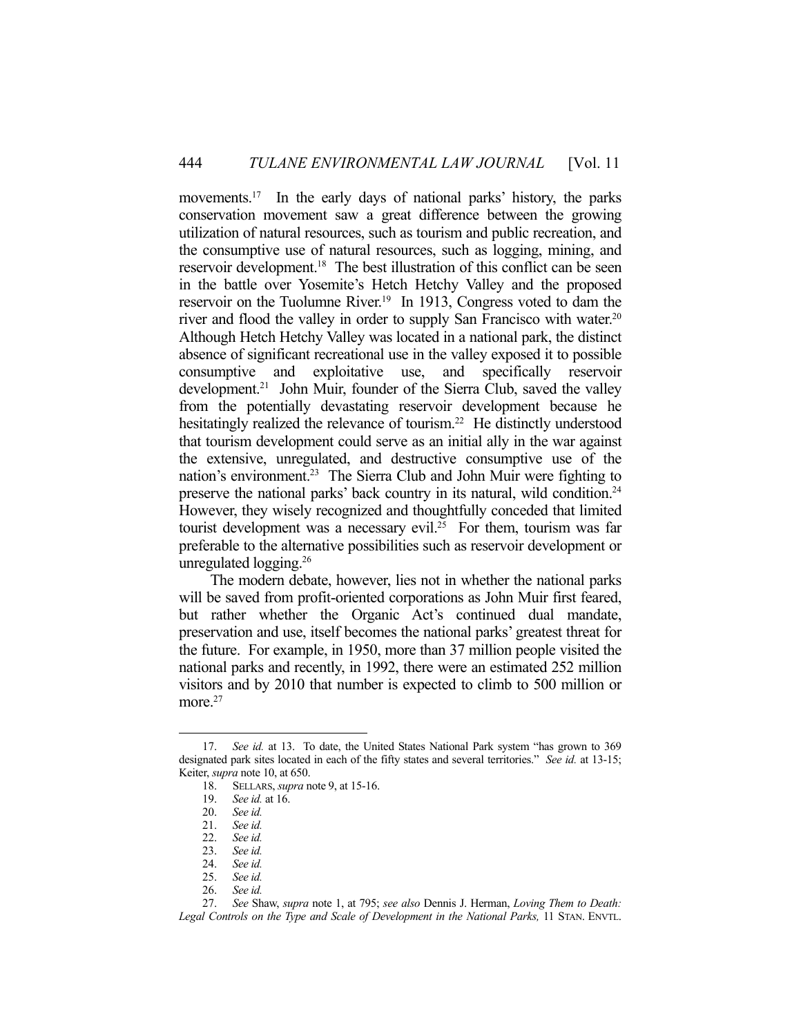movements.<sup>17</sup> In the early days of national parks' history, the parks conservation movement saw a great difference between the growing utilization of natural resources, such as tourism and public recreation, and the consumptive use of natural resources, such as logging, mining, and reservoir development.18 The best illustration of this conflict can be seen in the battle over Yosemite's Hetch Hetchy Valley and the proposed reservoir on the Tuolumne River.<sup>19</sup> In 1913, Congress voted to dam the river and flood the valley in order to supply San Francisco with water.<sup>20</sup> Although Hetch Hetchy Valley was located in a national park, the distinct absence of significant recreational use in the valley exposed it to possible consumptive and exploitative use, and specifically reservoir development.<sup>21</sup> John Muir, founder of the Sierra Club, saved the valley from the potentially devastating reservoir development because he hesitatingly realized the relevance of tourism.<sup>22</sup> He distinctly understood that tourism development could serve as an initial ally in the war against the extensive, unregulated, and destructive consumptive use of the nation's environment.<sup>23</sup> The Sierra Club and John Muir were fighting to preserve the national parks' back country in its natural, wild condition.24 However, they wisely recognized and thoughtfully conceded that limited tourist development was a necessary evil.<sup>25</sup> For them, tourism was far preferable to the alternative possibilities such as reservoir development or unregulated logging.26

 The modern debate, however, lies not in whether the national parks will be saved from profit-oriented corporations as John Muir first feared, but rather whether the Organic Act's continued dual mandate, preservation and use, itself becomes the national parks' greatest threat for the future. For example, in 1950, more than 37 million people visited the national parks and recently, in 1992, there were an estimated 252 million visitors and by 2010 that number is expected to climb to 500 million or more.<sup>27</sup>

 <sup>17.</sup> *See id.* at 13. To date, the United States National Park system "has grown to 369 designated park sites located in each of the fifty states and several territories." *See id.* at 13-15; Keiter, *supra* note 10, at 650.

 <sup>18.</sup> SELLARS, *supra* note 9, at 15-16.

 <sup>19.</sup> *See id.* at 16.

 <sup>20.</sup> *See id.*

 <sup>21.</sup> *See id.*

 <sup>22.</sup> *See id.*

 <sup>23.</sup> *See id.*

 <sup>24.</sup> *See id.*

See id.

 <sup>26.</sup> *See id.*

 <sup>27.</sup> *See* Shaw, *supra* note 1, at 795; *see also* Dennis J. Herman, *Loving Them to Death: Legal Controls on the Type and Scale of Development in the National Parks,* 11 STAN. ENVTL.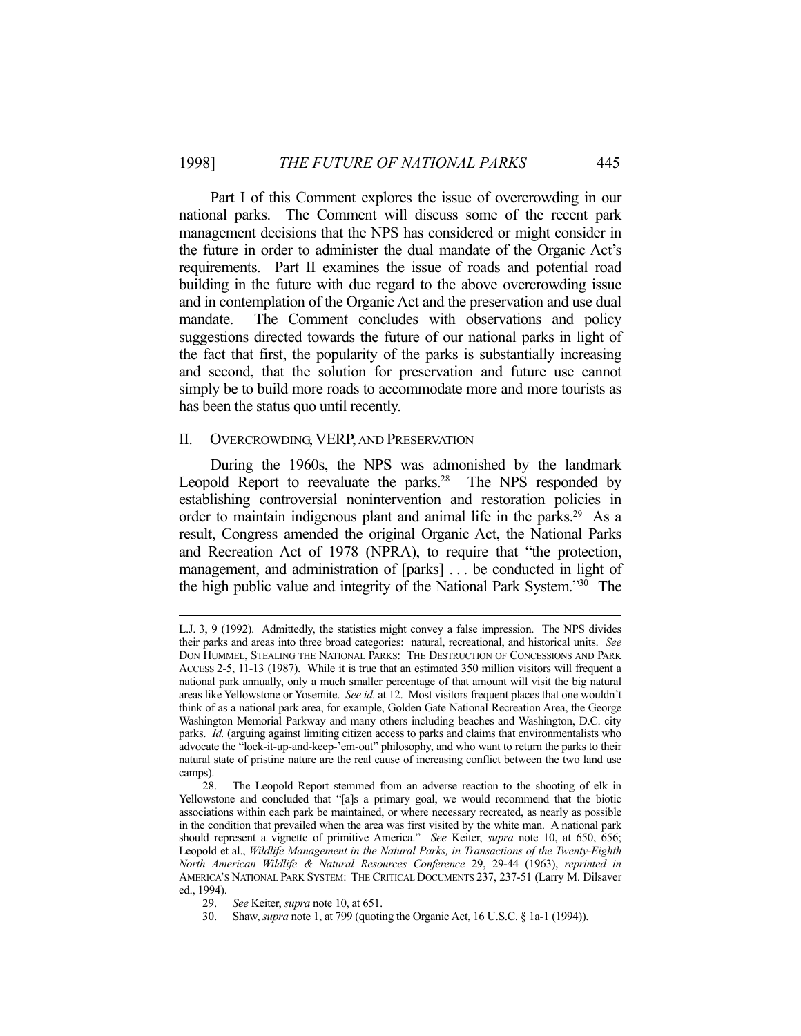Part I of this Comment explores the issue of overcrowding in our national parks. The Comment will discuss some of the recent park management decisions that the NPS has considered or might consider in the future in order to administer the dual mandate of the Organic Act's requirements. Part II examines the issue of roads and potential road building in the future with due regard to the above overcrowding issue and in contemplation of the Organic Act and the preservation and use dual mandate. The Comment concludes with observations and policy suggestions directed towards the future of our national parks in light of the fact that first, the popularity of the parks is substantially increasing and second, that the solution for preservation and future use cannot simply be to build more roads to accommodate more and more tourists as has been the status quo until recently.

#### II. OVERCROWDING, VERP, AND PRESERVATION

 During the 1960s, the NPS was admonished by the landmark Leopold Report to reevaluate the parks.<sup>28</sup> The NPS responded by establishing controversial nonintervention and restoration policies in order to maintain indigenous plant and animal life in the parks.<sup>29</sup> As a result, Congress amended the original Organic Act, the National Parks and Recreation Act of 1978 (NPRA), to require that "the protection, management, and administration of [parks] . . . be conducted in light of the high public value and integrity of the National Park System."30 The

L.J. 3, 9 (1992). Admittedly, the statistics might convey a false impression. The NPS divides their parks and areas into three broad categories: natural, recreational, and historical units. *See* DON HUMMEL, STEALING THE NATIONAL PARKS: THE DESTRUCTION OF CONCESSIONS AND PARK ACCESS 2-5, 11-13 (1987). While it is true that an estimated 350 million visitors will frequent a national park annually, only a much smaller percentage of that amount will visit the big natural areas like Yellowstone or Yosemite. *See id.* at 12. Most visitors frequent places that one wouldn't think of as a national park area, for example, Golden Gate National Recreation Area, the George Washington Memorial Parkway and many others including beaches and Washington, D.C. city parks. *Id.* (arguing against limiting citizen access to parks and claims that environmentalists who advocate the "lock-it-up-and-keep-'em-out" philosophy, and who want to return the parks to their natural state of pristine nature are the real cause of increasing conflict between the two land use camps).

 <sup>28.</sup> The Leopold Report stemmed from an adverse reaction to the shooting of elk in Yellowstone and concluded that "[a]s a primary goal, we would recommend that the biotic associations within each park be maintained, or where necessary recreated, as nearly as possible in the condition that prevailed when the area was first visited by the white man. A national park should represent a vignette of primitive America." *See* Keiter, *supra* note 10, at 650, 656; Leopold et al., *Wildlife Management in the Natural Parks, in Transactions of the Twenty-Eighth North American Wildlife & Natural Resources Conference* 29, 29-44 (1963), *reprinted in* AMERICA'S NATIONAL PARK SYSTEM: THE CRITICAL DOCUMENTS 237, 237-51 (Larry M. Dilsaver ed., 1994).

 <sup>29.</sup> *See* Keiter, *supra* note 10, at 651.

 <sup>30.</sup> Shaw, *supra* note 1, at 799 (quoting the Organic Act, 16 U.S.C. § 1a-1 (1994)).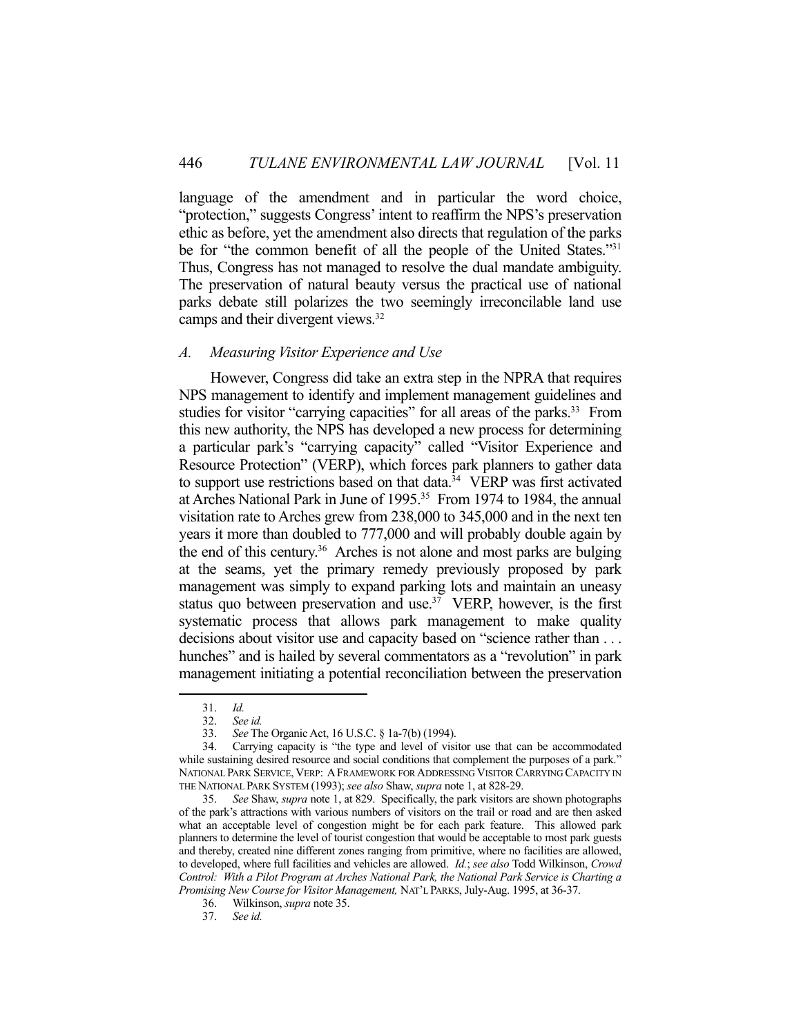language of the amendment and in particular the word choice, "protection," suggests Congress' intent to reaffirm the NPS's preservation ethic as before, yet the amendment also directs that regulation of the parks be for "the common benefit of all the people of the United States."<sup>31</sup> Thus, Congress has not managed to resolve the dual mandate ambiguity. The preservation of natural beauty versus the practical use of national parks debate still polarizes the two seemingly irreconcilable land use camps and their divergent views.32

### *A. Measuring Visitor Experience and Use*

 However, Congress did take an extra step in the NPRA that requires NPS management to identify and implement management guidelines and studies for visitor "carrying capacities" for all areas of the parks.<sup>33</sup> From this new authority, the NPS has developed a new process for determining a particular park's "carrying capacity" called "Visitor Experience and Resource Protection" (VERP), which forces park planners to gather data to support use restrictions based on that data.<sup>34</sup> VERP was first activated at Arches National Park in June of 1995.35 From 1974 to 1984, the annual visitation rate to Arches grew from 238,000 to 345,000 and in the next ten years it more than doubled to 777,000 and will probably double again by the end of this century.<sup>36</sup> Arches is not alone and most parks are bulging at the seams, yet the primary remedy previously proposed by park management was simply to expand parking lots and maintain an uneasy status quo between preservation and use. $37$  VERP, however, is the first systematic process that allows park management to make quality decisions about visitor use and capacity based on "science rather than . . . hunches" and is hailed by several commentators as a "revolution" in park management initiating a potential reconciliation between the preservation

 <sup>31.</sup> *Id.*

 <sup>32.</sup> *See id.*

 <sup>33.</sup> *See* The Organic Act, 16 U.S.C. § 1a-7(b) (1994).

 <sup>34.</sup> Carrying capacity is "the type and level of visitor use that can be accommodated while sustaining desired resource and social conditions that complement the purposes of a park." NATIONAL PARK SERVICE, VERP: AFRAMEWORK FOR ADDRESSING VISITOR CARRYING CAPACITY IN THE NATIONAL PARK SYSTEM (1993); *see also* Shaw, *supra* note 1, at 828-29.

 <sup>35.</sup> *See* Shaw, *supra* note 1, at 829. Specifically, the park visitors are shown photographs of the park's attractions with various numbers of visitors on the trail or road and are then asked what an acceptable level of congestion might be for each park feature. This allowed park planners to determine the level of tourist congestion that would be acceptable to most park guests and thereby, created nine different zones ranging from primitive, where no facilities are allowed, to developed, where full facilities and vehicles are allowed. *Id.*; *see also* Todd Wilkinson, *Crowd Control: With a Pilot Program at Arches National Park, the National Park Service is Charting a Promising New Course for Visitor Management,* NAT'L PARKS, July-Aug. 1995, at 36-37.

 <sup>36.</sup> Wilkinson, *supra* note 35.

 <sup>37.</sup> *See id.*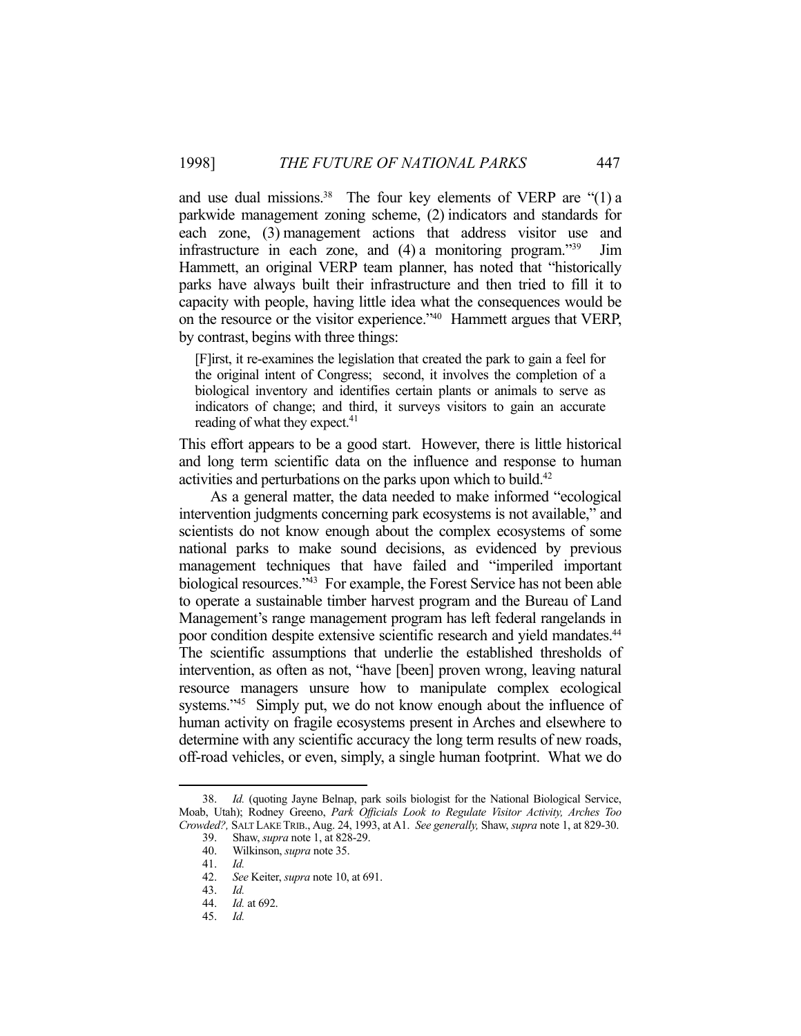and use dual missions.<sup>38</sup> The four key elements of VERP are " $(1)$  a parkwide management zoning scheme, (2) indicators and standards for each zone, (3) management actions that address visitor use and infrastructure in each zone, and (4) a monitoring program."39 Jim Hammett, an original VERP team planner, has noted that "historically parks have always built their infrastructure and then tried to fill it to capacity with people, having little idea what the consequences would be on the resource or the visitor experience."40 Hammett argues that VERP, by contrast, begins with three things:

[F]irst, it re-examines the legislation that created the park to gain a feel for the original intent of Congress; second, it involves the completion of a biological inventory and identifies certain plants or animals to serve as indicators of change; and third, it surveys visitors to gain an accurate reading of what they expect.<sup>41</sup>

This effort appears to be a good start. However, there is little historical and long term scientific data on the influence and response to human activities and perturbations on the parks upon which to build.<sup>42</sup>

 As a general matter, the data needed to make informed "ecological intervention judgments concerning park ecosystems is not available," and scientists do not know enough about the complex ecosystems of some national parks to make sound decisions, as evidenced by previous management techniques that have failed and "imperiled important biological resources."43 For example, the Forest Service has not been able to operate a sustainable timber harvest program and the Bureau of Land Management's range management program has left federal rangelands in poor condition despite extensive scientific research and yield mandates.<sup>44</sup> The scientific assumptions that underlie the established thresholds of intervention, as often as not, "have [been] proven wrong, leaving natural resource managers unsure how to manipulate complex ecological systems."<sup>45</sup> Simply put, we do not know enough about the influence of human activity on fragile ecosystems present in Arches and elsewhere to determine with any scientific accuracy the long term results of new roads, off-road vehicles, or even, simply, a single human footprint. What we do

 <sup>38.</sup> *Id.* (quoting Jayne Belnap, park soils biologist for the National Biological Service, Moab, Utah); Rodney Greeno, *Park Officials Look to Regulate Visitor Activity, Arches Too Crowded?,* SALT LAKE TRIB., Aug. 24, 1993, at A1. *See generally,* Shaw, *supra* note 1, at 829-30.

 <sup>39.</sup> Shaw, *supra* note 1, at 828-29.

 <sup>40.</sup> Wilkinson, *supra* note 35.

 <sup>41.</sup> *Id.*

 <sup>42.</sup> *See* Keiter, *supra* note 10, at 691.

 <sup>43.</sup> *Id.*

 <sup>44.</sup> *Id.* at 692.

 <sup>45.</sup> *Id.*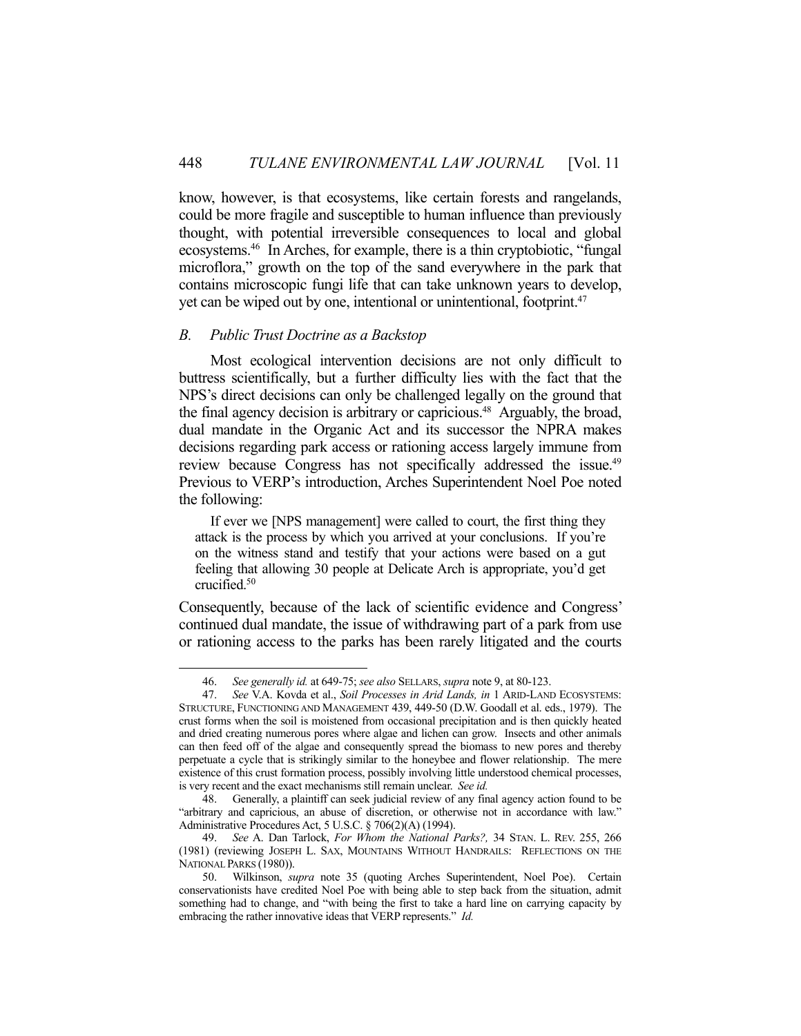know, however, is that ecosystems, like certain forests and rangelands, could be more fragile and susceptible to human influence than previously thought, with potential irreversible consequences to local and global ecosystems.46 In Arches, for example, there is a thin cryptobiotic, "fungal microflora," growth on the top of the sand everywhere in the park that contains microscopic fungi life that can take unknown years to develop, yet can be wiped out by one, intentional or unintentional, footprint.<sup>47</sup>

#### *B. Public Trust Doctrine as a Backstop*

1

 Most ecological intervention decisions are not only difficult to buttress scientifically, but a further difficulty lies with the fact that the NPS's direct decisions can only be challenged legally on the ground that the final agency decision is arbitrary or capricious.<sup>48</sup> Arguably, the broad, dual mandate in the Organic Act and its successor the NPRA makes decisions regarding park access or rationing access largely immune from review because Congress has not specifically addressed the issue.<sup>49</sup> Previous to VERP's introduction, Arches Superintendent Noel Poe noted the following:

 If ever we [NPS management] were called to court, the first thing they attack is the process by which you arrived at your conclusions. If you're on the witness stand and testify that your actions were based on a gut feeling that allowing 30 people at Delicate Arch is appropriate, you'd get crucified.50

Consequently, because of the lack of scientific evidence and Congress' continued dual mandate, the issue of withdrawing part of a park from use or rationing access to the parks has been rarely litigated and the courts

 <sup>46.</sup> *See generally id.* at 649-75; *see also* SELLARS, *supra* note 9, at 80-123.

 <sup>47.</sup> *See* V.A. Kovda et al., *Soil Processes in Arid Lands, in* 1 ARID-LAND ECOSYSTEMS: STRUCTURE, FUNCTIONING AND MANAGEMENT 439, 449-50 (D.W. Goodall et al. eds., 1979). The crust forms when the soil is moistened from occasional precipitation and is then quickly heated and dried creating numerous pores where algae and lichen can grow. Insects and other animals can then feed off of the algae and consequently spread the biomass to new pores and thereby perpetuate a cycle that is strikingly similar to the honeybee and flower relationship. The mere existence of this crust formation process, possibly involving little understood chemical processes, is very recent and the exact mechanisms still remain unclear. *See id.*

 <sup>48.</sup> Generally, a plaintiff can seek judicial review of any final agency action found to be "arbitrary and capricious, an abuse of discretion, or otherwise not in accordance with law." Administrative Procedures Act, 5 U.S.C. § 706(2)(A) (1994).

 <sup>49.</sup> *See* A. Dan Tarlock, *For Whom the National Parks?,* 34 STAN. L. REV. 255, 266 (1981) (reviewing JOSEPH L. SAX, MOUNTAINS WITHOUT HANDRAILS: REFLECTIONS ON THE NATIONAL PARKS (1980)).

 <sup>50.</sup> Wilkinson, *supra* note 35 (quoting Arches Superintendent, Noel Poe). Certain conservationists have credited Noel Poe with being able to step back from the situation, admit something had to change, and "with being the first to take a hard line on carrying capacity by embracing the rather innovative ideas that VERP represents." *Id.*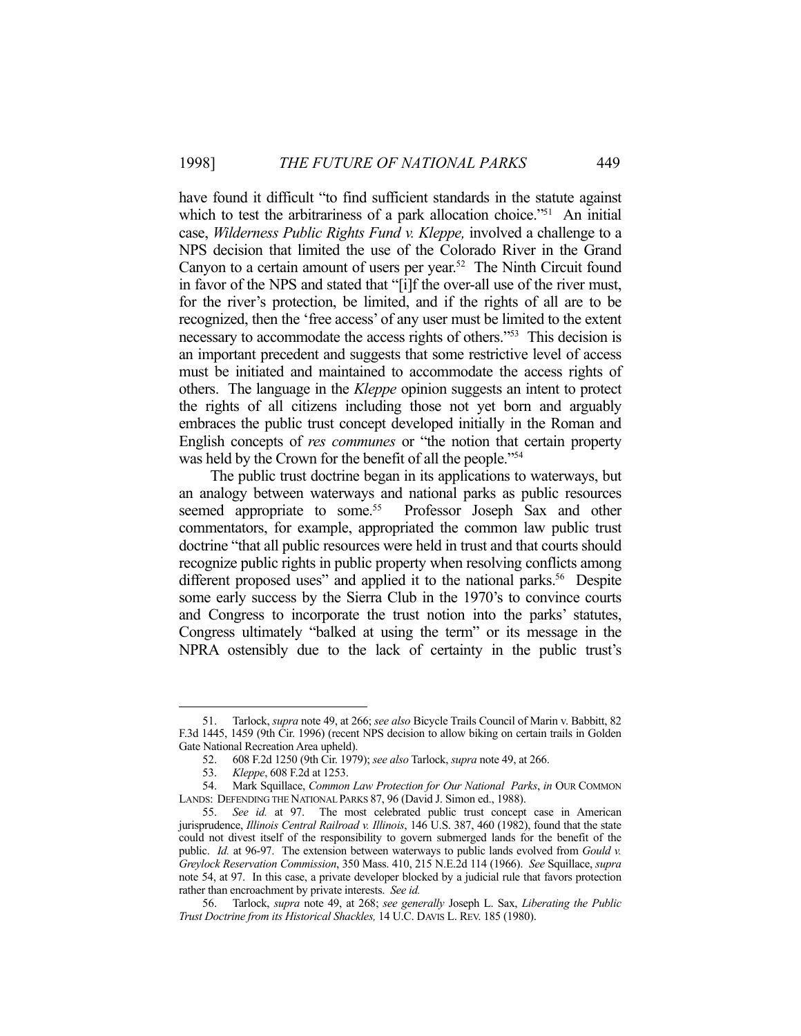have found it difficult "to find sufficient standards in the statute against which to test the arbitrariness of a park allocation choice."<sup>51</sup> An initial case, *Wilderness Public Rights Fund v. Kleppe,* involved a challenge to a NPS decision that limited the use of the Colorado River in the Grand Canyon to a certain amount of users per year.<sup>52</sup> The Ninth Circuit found in favor of the NPS and stated that "[i]f the over-all use of the river must, for the river's protection, be limited, and if the rights of all are to be recognized, then the 'free access' of any user must be limited to the extent necessary to accommodate the access rights of others."53 This decision is an important precedent and suggests that some restrictive level of access must be initiated and maintained to accommodate the access rights of others. The language in the *Kleppe* opinion suggests an intent to protect the rights of all citizens including those not yet born and arguably embraces the public trust concept developed initially in the Roman and English concepts of *res communes* or "the notion that certain property was held by the Crown for the benefit of all the people."<sup>54</sup>

 The public trust doctrine began in its applications to waterways, but an analogy between waterways and national parks as public resources seemed appropriate to some.<sup>55</sup> Professor Joseph Sax and other commentators, for example, appropriated the common law public trust doctrine "that all public resources were held in trust and that courts should recognize public rights in public property when resolving conflicts among different proposed uses" and applied it to the national parks.<sup>56</sup> Despite some early success by the Sierra Club in the 1970's to convince courts and Congress to incorporate the trust notion into the parks' statutes, Congress ultimately "balked at using the term" or its message in the NPRA ostensibly due to the lack of certainty in the public trust's

 <sup>51.</sup> Tarlock, *supra* note 49, at 266; *see also* Bicycle Trails Council of Marin v. Babbitt, 82 F.3d 1445, 1459 (9th Cir. 1996) (recent NPS decision to allow biking on certain trails in Golden Gate National Recreation Area upheld).

 <sup>52. 608</sup> F.2d 1250 (9th Cir. 1979); *see also* Tarlock, *supra* note 49, at 266.

 <sup>53.</sup> *Kleppe*, 608 F.2d at 1253.

 <sup>54.</sup> Mark Squillace, *Common Law Protection for Our National Parks*, *in* OUR COMMON LANDS: DEFENDING THE NATIONAL PARKS 87, 96 (David J. Simon ed., 1988).

 <sup>55.</sup> *See id.* at 97. The most celebrated public trust concept case in American jurisprudence, *Illinois Central Railroad v. Illinois*, 146 U.S. 387, 460 (1982), found that the state could not divest itself of the responsibility to govern submerged lands for the benefit of the public. *Id.* at 96-97. The extension between waterways to public lands evolved from *Gould v. Greylock Reservation Commission*, 350 Mass. 410, 215 N.E.2d 114 (1966). *See* Squillace, *supra* note 54, at 97. In this case, a private developer blocked by a judicial rule that favors protection rather than encroachment by private interests. *See id.*

 <sup>56.</sup> Tarlock, *supra* note 49, at 268; *see generally* Joseph L. Sax, *Liberating the Public Trust Doctrine from its Historical Shackles,* 14 U.C. DAVIS L. REV. 185 (1980).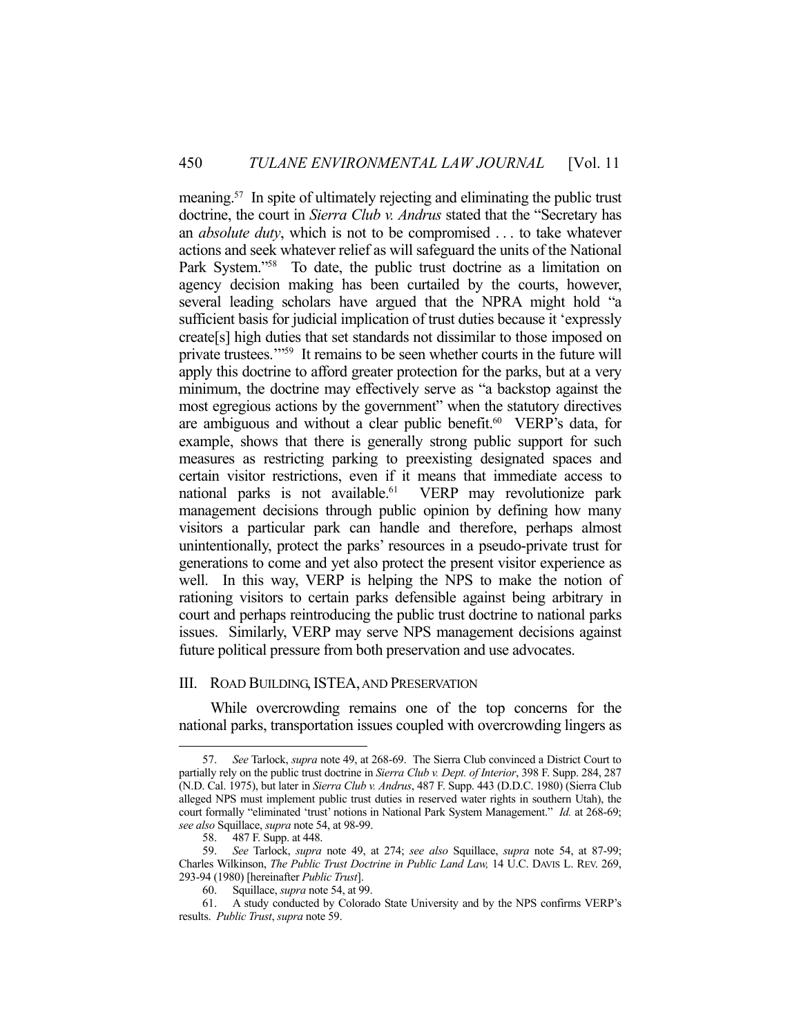meaning.57 In spite of ultimately rejecting and eliminating the public trust doctrine, the court in *Sierra Club v. Andrus* stated that the "Secretary has an *absolute duty*, which is not to be compromised . . . to take whatever actions and seek whatever relief as will safeguard the units of the National Park System."<sup>58</sup> To date, the public trust doctrine as a limitation on agency decision making has been curtailed by the courts, however, several leading scholars have argued that the NPRA might hold "a sufficient basis for judicial implication of trust duties because it 'expressly create[s] high duties that set standards not dissimilar to those imposed on private trustees.'"59 It remains to be seen whether courts in the future will apply this doctrine to afford greater protection for the parks, but at a very minimum, the doctrine may effectively serve as "a backstop against the most egregious actions by the government" when the statutory directives are ambiguous and without a clear public benefit.<sup>60</sup> VERP's data, for example, shows that there is generally strong public support for such measures as restricting parking to preexisting designated spaces and certain visitor restrictions, even if it means that immediate access to national parks is not available.<sup>61</sup> VERP may revolutionize park management decisions through public opinion by defining how many visitors a particular park can handle and therefore, perhaps almost unintentionally, protect the parks' resources in a pseudo-private trust for generations to come and yet also protect the present visitor experience as well. In this way, VERP is helping the NPS to make the notion of rationing visitors to certain parks defensible against being arbitrary in court and perhaps reintroducing the public trust doctrine to national parks issues. Similarly, VERP may serve NPS management decisions against future political pressure from both preservation and use advocates.

# III. ROAD BUILDING, ISTEA, AND PRESERVATION

 While overcrowding remains one of the top concerns for the national parks, transportation issues coupled with overcrowding lingers as

 <sup>57.</sup> *See* Tarlock, *supra* note 49, at 268-69. The Sierra Club convinced a District Court to partially rely on the public trust doctrine in *Sierra Club v. Dept. of Interior*, 398 F. Supp. 284, 287 (N.D. Cal. 1975), but later in *Sierra Club v. Andrus*, 487 F. Supp. 443 (D.D.C. 1980) (Sierra Club alleged NPS must implement public trust duties in reserved water rights in southern Utah), the court formally "eliminated 'trust' notions in National Park System Management." *Id.* at 268-69; *see also* Squillace, *supra* note 54, at 98-99.

 <sup>58. 487</sup> F. Supp. at 448.

 <sup>59.</sup> *See* Tarlock, *supra* note 49, at 274; *see also* Squillace, *supra* note 54, at 87-99; Charles Wilkinson, *The Public Trust Doctrine in Public Land Law,* 14 U.C. DAVIS L. REV. 269, 293-94 (1980) [hereinafter *Public Trust*].

 <sup>60.</sup> Squillace, *supra* note 54, at 99.

 <sup>61.</sup> A study conducted by Colorado State University and by the NPS confirms VERP's results. *Public Trust*, *supra* note 59.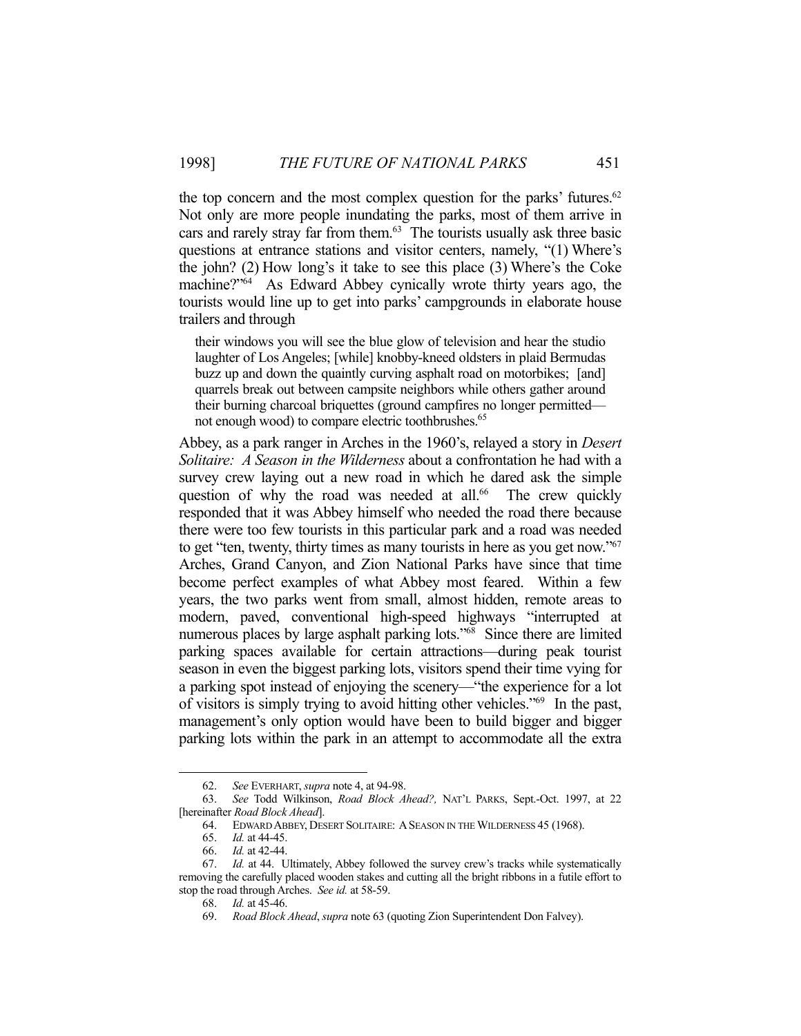the top concern and the most complex question for the parks' futures. $62$ Not only are more people inundating the parks, most of them arrive in cars and rarely stray far from them.63 The tourists usually ask three basic questions at entrance stations and visitor centers, namely, "(1) Where's the john? (2) How long's it take to see this place (3) Where's the Coke machine?"64 As Edward Abbey cynically wrote thirty years ago, the tourists would line up to get into parks' campgrounds in elaborate house trailers and through

their windows you will see the blue glow of television and hear the studio laughter of Los Angeles; [while] knobby-kneed oldsters in plaid Bermudas buzz up and down the quaintly curving asphalt road on motorbikes; [and] quarrels break out between campsite neighbors while others gather around their burning charcoal briquettes (ground campfires no longer permitted not enough wood) to compare electric toothbrushes.<sup>65</sup>

Abbey, as a park ranger in Arches in the 1960's, relayed a story in *Desert Solitaire: A Season in the Wilderness* about a confrontation he had with a survey crew laying out a new road in which he dared ask the simple question of why the road was needed at all. $66$  The crew quickly responded that it was Abbey himself who needed the road there because there were too few tourists in this particular park and a road was needed to get "ten, twenty, thirty times as many tourists in here as you get now."67 Arches, Grand Canyon, and Zion National Parks have since that time become perfect examples of what Abbey most feared. Within a few years, the two parks went from small, almost hidden, remote areas to modern, paved, conventional high-speed highways "interrupted at numerous places by large asphalt parking lots."68 Since there are limited parking spaces available for certain attractions—during peak tourist season in even the biggest parking lots, visitors spend their time vying for a parking spot instead of enjoying the scenery—"the experience for a lot of visitors is simply trying to avoid hitting other vehicles."69 In the past, management's only option would have been to build bigger and bigger parking lots within the park in an attempt to accommodate all the extra

 <sup>62.</sup> *See* EVERHART, *supra* note 4, at 94-98.

 <sup>63.</sup> *See* Todd Wilkinson, *Road Block Ahead?,* NAT'L PARKS, Sept.-Oct. 1997, at 22 [hereinafter *Road Block Ahead*].

 <sup>64.</sup> EDWARD ABBEY, DESERT SOLITAIRE: ASEASON IN THE WILDERNESS 45 (1968).

 <sup>65.</sup> *Id.* at 44-45.

 <sup>66.</sup> *Id.* at 42-44.

 <sup>67.</sup> *Id.* at 44. Ultimately, Abbey followed the survey crew's tracks while systematically removing the carefully placed wooden stakes and cutting all the bright ribbons in a futile effort to stop the road through Arches. *See id.* at 58-59.

 <sup>68.</sup> *Id.* at 45-46.

 <sup>69.</sup> *Road Block Ahead*, *supra* note 63 (quoting Zion Superintendent Don Falvey).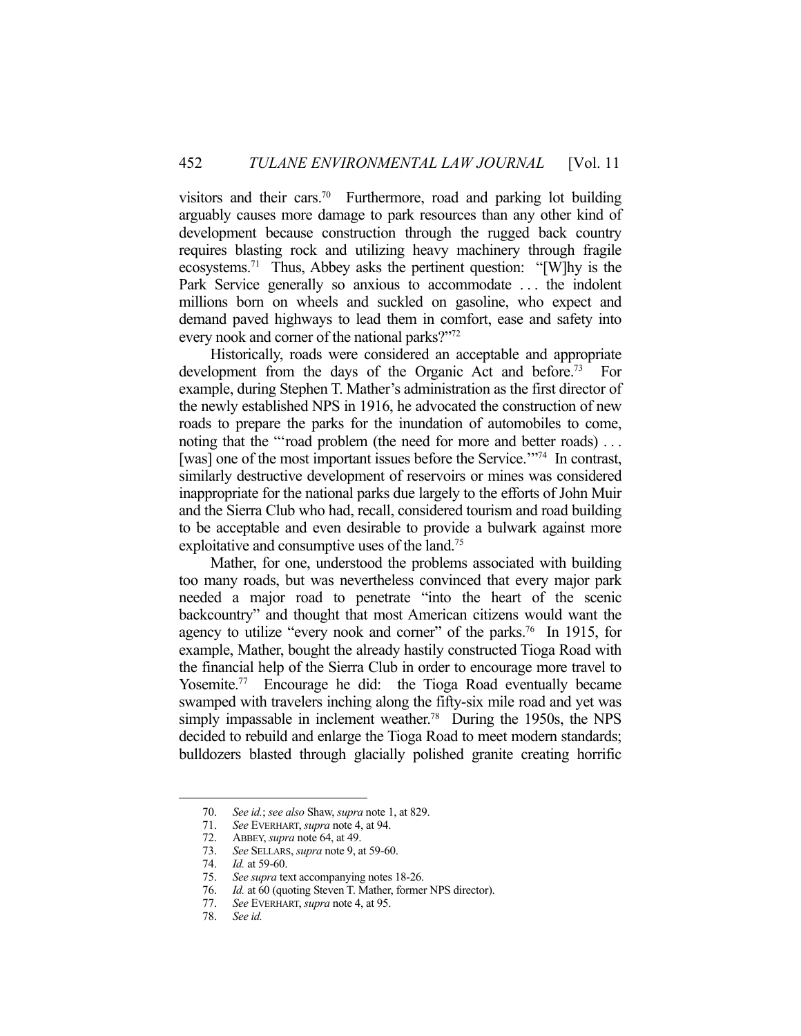visitors and their cars.<sup>70</sup> Furthermore, road and parking lot building arguably causes more damage to park resources than any other kind of development because construction through the rugged back country requires blasting rock and utilizing heavy machinery through fragile ecosystems.71 Thus, Abbey asks the pertinent question: "[W]hy is the Park Service generally so anxious to accommodate . . . the indolent millions born on wheels and suckled on gasoline, who expect and demand paved highways to lead them in comfort, ease and safety into every nook and corner of the national parks?"72

 Historically, roads were considered an acceptable and appropriate development from the days of the Organic Act and before.<sup>73</sup> For example, during Stephen T. Mather's administration as the first director of the newly established NPS in 1916, he advocated the construction of new roads to prepare the parks for the inundation of automobiles to come, noting that the "'road problem (the need for more and better roads) ... [was] one of the most important issues before the Service.<sup>'"74</sup> In contrast, similarly destructive development of reservoirs or mines was considered inappropriate for the national parks due largely to the efforts of John Muir and the Sierra Club who had, recall, considered tourism and road building to be acceptable and even desirable to provide a bulwark against more exploitative and consumptive uses of the land.75

 Mather, for one, understood the problems associated with building too many roads, but was nevertheless convinced that every major park needed a major road to penetrate "into the heart of the scenic backcountry" and thought that most American citizens would want the agency to utilize "every nook and corner" of the parks.<sup>76</sup> In 1915, for example, Mather, bought the already hastily constructed Tioga Road with the financial help of the Sierra Club in order to encourage more travel to Yosemite.<sup>77</sup> Encourage he did: the Tioga Road eventually became swamped with travelers inching along the fifty-six mile road and yet was simply impassable in inclement weather.<sup>78</sup> During the 1950s, the NPS decided to rebuild and enlarge the Tioga Road to meet modern standards; bulldozers blasted through glacially polished granite creating horrific

 <sup>70.</sup> *See id.*; *see also* Shaw, *supra* note 1, at 829.

 <sup>71.</sup> *See* EVERHART, *supra* note 4, at 94.

 <sup>72.</sup> ABBEY, *supra* note 64, at 49.

 <sup>73.</sup> *See* SELLARS, *supra* note 9, at 59-60.

 <sup>74.</sup> *Id.* at 59-60.

 <sup>75.</sup> *See supra* text accompanying notes 18-26.

 <sup>76.</sup> *Id.* at 60 (quoting Steven T. Mather, former NPS director).

 <sup>77.</sup> *See* EVERHART, *supra* note 4, at 95.

 <sup>78.</sup> *See id.*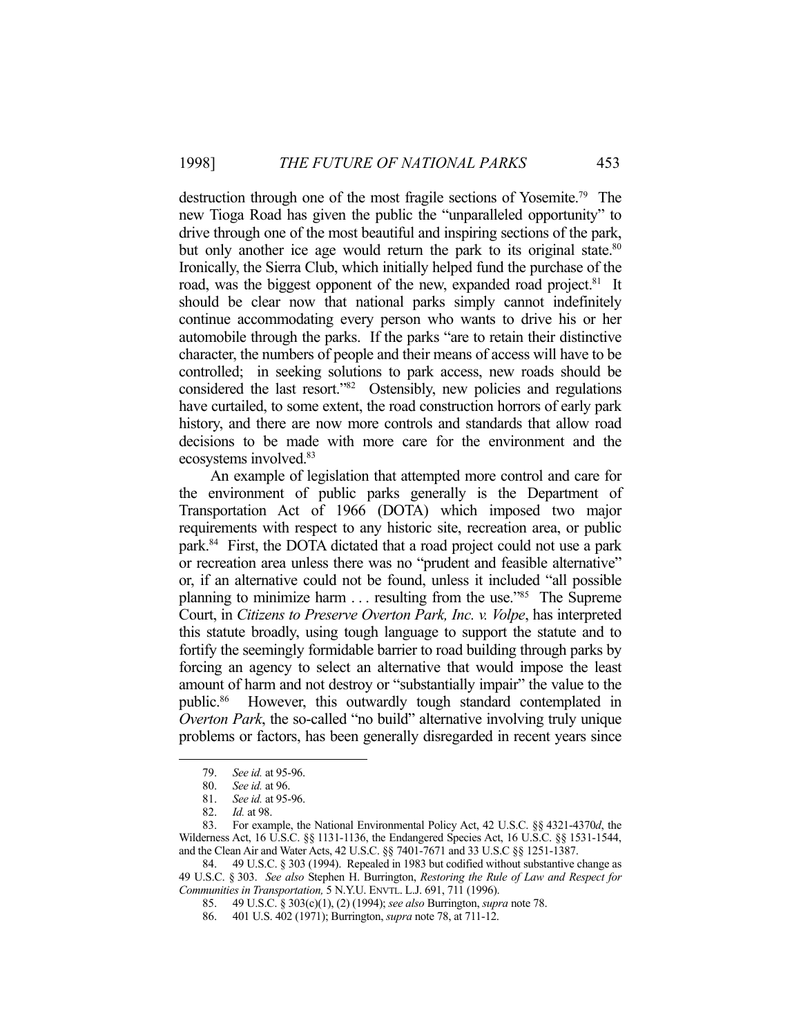destruction through one of the most fragile sections of Yosemite.79 The new Tioga Road has given the public the "unparalleled opportunity" to drive through one of the most beautiful and inspiring sections of the park, but only another ice age would return the park to its original state.<sup>80</sup> Ironically, the Sierra Club, which initially helped fund the purchase of the road, was the biggest opponent of the new, expanded road project.<sup>81</sup> It should be clear now that national parks simply cannot indefinitely continue accommodating every person who wants to drive his or her automobile through the parks. If the parks "are to retain their distinctive character, the numbers of people and their means of access will have to be controlled; in seeking solutions to park access, new roads should be considered the last resort."82 Ostensibly, new policies and regulations have curtailed, to some extent, the road construction horrors of early park history, and there are now more controls and standards that allow road decisions to be made with more care for the environment and the ecosystems involved.83

 An example of legislation that attempted more control and care for the environment of public parks generally is the Department of Transportation Act of 1966 (DOTA) which imposed two major requirements with respect to any historic site, recreation area, or public park.84 First, the DOTA dictated that a road project could not use a park or recreation area unless there was no "prudent and feasible alternative" or, if an alternative could not be found, unless it included "all possible planning to minimize harm . . . resulting from the use."85 The Supreme Court, in *Citizens to Preserve Overton Park, Inc. v. Volpe*, has interpreted this statute broadly, using tough language to support the statute and to fortify the seemingly formidable barrier to road building through parks by forcing an agency to select an alternative that would impose the least amount of harm and not destroy or "substantially impair" the value to the public.86 However, this outwardly tough standard contemplated in *Overton Park*, the so-called "no build" alternative involving truly unique problems or factors, has been generally disregarded in recent years since

 <sup>79.</sup> *See id.* at 95-96.

 <sup>80.</sup> *See id.* at 96.

 <sup>81.</sup> *See id.* at 95-96.

 <sup>82.</sup> *Id.* at 98.

 <sup>83.</sup> For example, the National Environmental Policy Act, 42 U.S.C. §§ 4321-4370*d*, the Wilderness Act, 16 U.S.C. §§ 1131-1136, the Endangered Species Act, 16 U.S.C. §§ 1531-1544, and the Clean Air and Water Acts, 42 U.S.C. §§ 7401-7671 and 33 U.S.C §§ 1251-1387.

 <sup>84. 49</sup> U.S.C. § 303 (1994). Repealed in 1983 but codified without substantive change as 49 U.S.C. § 303. *See also* Stephen H. Burrington, *Restoring the Rule of Law and Respect for Communities in Transportation,* 5 N.Y.U. ENVTL. L.J. 691, 711 (1996).

 <sup>85. 49</sup> U.S.C. § 303(c)(1), (2) (1994); *see also* Burrington, *supra* note 78.

 <sup>86. 401</sup> U.S. 402 (1971); Burrington, *supra* note 78, at 711-12.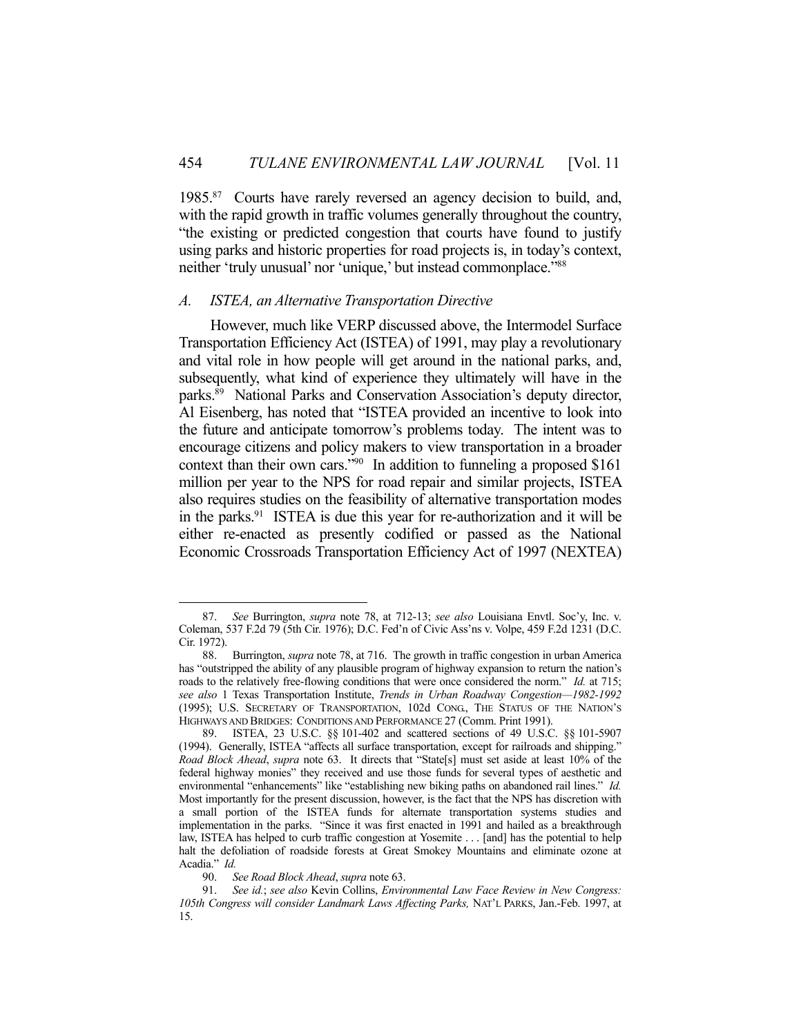1985<sup>87</sup> Courts have rarely reversed an agency decision to build, and, with the rapid growth in traffic volumes generally throughout the country, "the existing or predicted congestion that courts have found to justify using parks and historic properties for road projects is, in today's context, neither 'truly unusual' nor 'unique,' but instead commonplace."<sup>88</sup>

#### *A. ISTEA, an Alternative Transportation Directive*

 However, much like VERP discussed above, the Intermodel Surface Transportation Efficiency Act (ISTEA) of 1991, may play a revolutionary and vital role in how people will get around in the national parks, and, subsequently, what kind of experience they ultimately will have in the parks.89 National Parks and Conservation Association's deputy director, Al Eisenberg, has noted that "ISTEA provided an incentive to look into the future and anticipate tomorrow's problems today. The intent was to encourage citizens and policy makers to view transportation in a broader context than their own cars."90 In addition to funneling a proposed \$161 million per year to the NPS for road repair and similar projects, ISTEA also requires studies on the feasibility of alternative transportation modes in the parks. $91$  ISTEA is due this year for re-authorization and it will be either re-enacted as presently codified or passed as the National Economic Crossroads Transportation Efficiency Act of 1997 (NEXTEA)

 <sup>87.</sup> *See* Burrington, *supra* note 78, at 712-13; *see also* Louisiana Envtl. Soc'y, Inc. v. Coleman, 537 F.2d 79 (5th Cir. 1976); D.C. Fed'n of Civic Ass'ns v. Volpe, 459 F.2d 1231 (D.C. Cir. 1972).

 <sup>88.</sup> Burrington, *supra* note 78, at 716. The growth in traffic congestion in urban America has "outstripped the ability of any plausible program of highway expansion to return the nation's roads to the relatively free-flowing conditions that were once considered the norm." *Id.* at 715; *see also* 1 Texas Transportation Institute, *Trends in Urban Roadway Congestion—1982-1992* (1995); U.S. SECRETARY OF TRANSPORTATION, 102d CONG., THE STATUS OF THE NATION'S HIGHWAYS AND BRIDGES: CONDITIONS AND PERFORMANCE 27 (Comm. Print 1991).

 <sup>89.</sup> ISTEA, 23 U.S.C. §§ 101-402 and scattered sections of 49 U.S.C. §§ 101-5907 (1994). Generally, ISTEA "affects all surface transportation, except for railroads and shipping." *Road Block Ahead*, *supra* note 63. It directs that "State[s] must set aside at least 10% of the federal highway monies" they received and use those funds for several types of aesthetic and environmental "enhancements" like "establishing new biking paths on abandoned rail lines." *Id.* Most importantly for the present discussion, however, is the fact that the NPS has discretion with a small portion of the ISTEA funds for alternate transportation systems studies and implementation in the parks. "Since it was first enacted in 1991 and hailed as a breakthrough law, ISTEA has helped to curb traffic congestion at Yosemite . . . [and] has the potential to help halt the defoliation of roadside forests at Great Smokey Mountains and eliminate ozone at Acadia." *Id.*

 <sup>90.</sup> *See Road Block Ahead*, *supra* note 63.

 <sup>91.</sup> *See id.*; *see also* Kevin Collins, *Environmental Law Face Review in New Congress: 105th Congress will consider Landmark Laws Affecting Parks,* NAT'L PARKS, Jan.-Feb. 1997, at 15.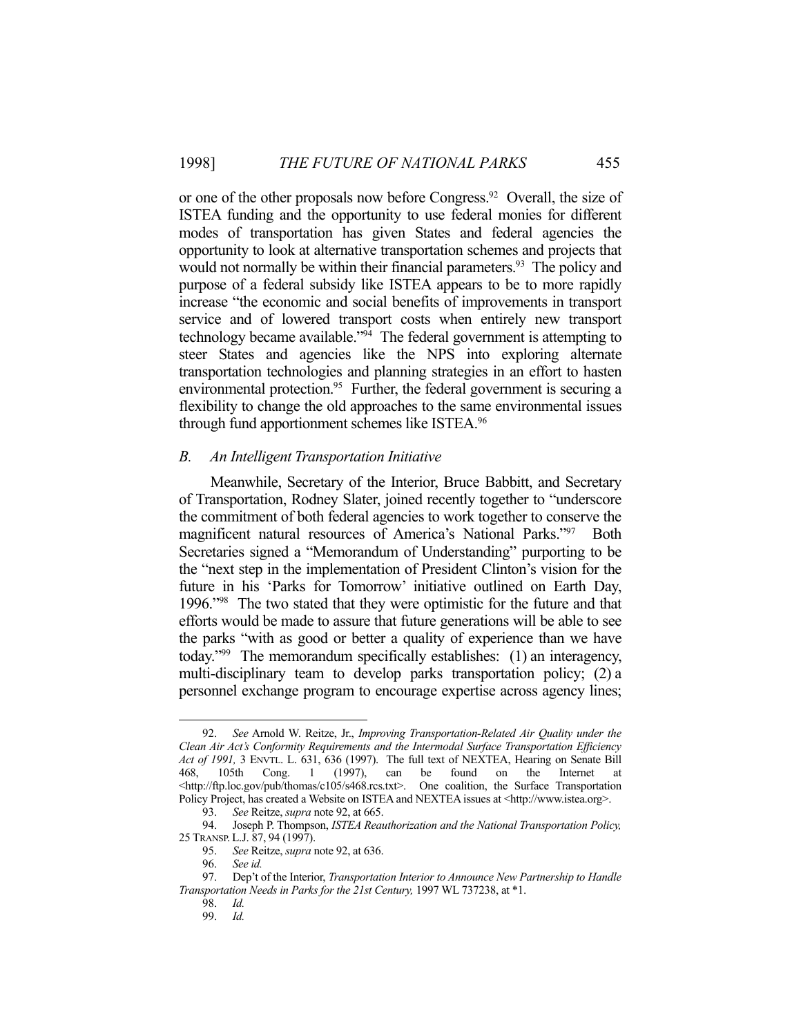or one of the other proposals now before Congress.<sup>92</sup> Overall, the size of ISTEA funding and the opportunity to use federal monies for different modes of transportation has given States and federal agencies the opportunity to look at alternative transportation schemes and projects that would not normally be within their financial parameters.<sup>93</sup> The policy and purpose of a federal subsidy like ISTEA appears to be to more rapidly increase "the economic and social benefits of improvements in transport service and of lowered transport costs when entirely new transport technology became available."94 The federal government is attempting to steer States and agencies like the NPS into exploring alternate transportation technologies and planning strategies in an effort to hasten environmental protection.<sup>95</sup> Further, the federal government is securing a flexibility to change the old approaches to the same environmental issues through fund apportionment schemes like ISTEA.96

#### *B. An Intelligent Transportation Initiative*

 Meanwhile, Secretary of the Interior, Bruce Babbitt, and Secretary of Transportation, Rodney Slater, joined recently together to "underscore the commitment of both federal agencies to work together to conserve the magnificent natural resources of America's National Parks."<sup>97</sup> Both Secretaries signed a "Memorandum of Understanding" purporting to be the "next step in the implementation of President Clinton's vision for the future in his 'Parks for Tomorrow' initiative outlined on Earth Day, 1996."98 The two stated that they were optimistic for the future and that efforts would be made to assure that future generations will be able to see the parks "with as good or better a quality of experience than we have today."99 The memorandum specifically establishes: (1) an interagency, multi-disciplinary team to develop parks transportation policy; (2) a personnel exchange program to encourage expertise across agency lines;

 <sup>92.</sup> *See* Arnold W. Reitze, Jr., *Improving Transportation-Related Air Quality under the Clean Air Act's Conformity Requirements and the Intermodal Surface Transportation Efficiency Act of 1991,* 3 ENVTL. L. 631, 636 (1997). The full text of NEXTEA, Hearing on Senate Bill 468, 105th Cong. 1 (1997), can be found on the Internet at <http://ftp.loc.gov/pub/thomas/c105/s468.rcs.txt>. One coalition, the Surface Transportation Policy Project, has created a Website on ISTEA and NEXTEA issues at <http://www.istea.org>.

 <sup>93.</sup> *See* Reitze, *supra* note 92, at 665.

 <sup>94.</sup> Joseph P. Thompson, *ISTEA Reauthorization and the National Transportation Policy,*  25 TRANSP. L.J. 87, 94 (1997).

 <sup>95.</sup> *See* Reitze, *supra* note 92, at 636.

 <sup>96.</sup> *See id.*

 <sup>97.</sup> Dep't of the Interior, *Transportation Interior to Announce New Partnership to Handle Transportation Needs in Parks for the 21st Century,* 1997 WL 737238, at \*1.

 <sup>98.</sup> *Id.*

 <sup>99.</sup> *Id.*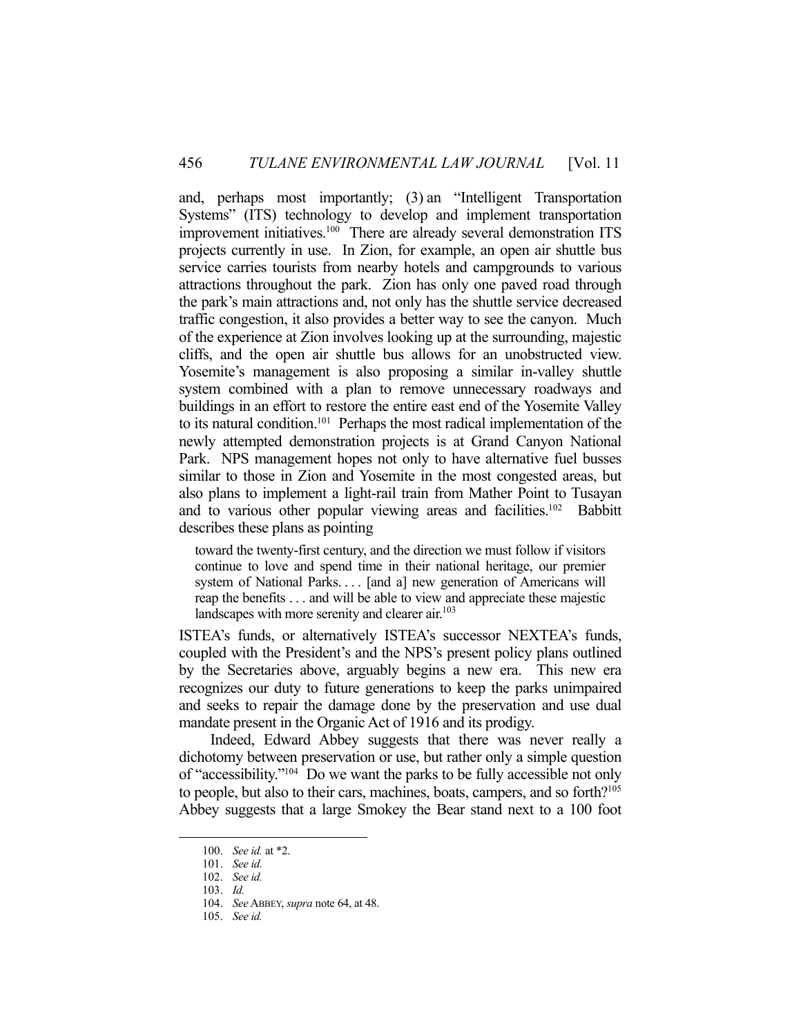and, perhaps most importantly; (3) an "Intelligent Transportation Systems" (ITS) technology to develop and implement transportation improvement initiatives.100 There are already several demonstration ITS projects currently in use. In Zion, for example, an open air shuttle bus service carries tourists from nearby hotels and campgrounds to various attractions throughout the park. Zion has only one paved road through the park's main attractions and, not only has the shuttle service decreased traffic congestion, it also provides a better way to see the canyon. Much of the experience at Zion involves looking up at the surrounding, majestic cliffs, and the open air shuttle bus allows for an unobstructed view. Yosemite's management is also proposing a similar in-valley shuttle system combined with a plan to remove unnecessary roadways and buildings in an effort to restore the entire east end of the Yosemite Valley to its natural condition.<sup>101</sup> Perhaps the most radical implementation of the newly attempted demonstration projects is at Grand Canyon National Park. NPS management hopes not only to have alternative fuel busses similar to those in Zion and Yosemite in the most congested areas, but also plans to implement a light-rail train from Mather Point to Tusayan and to various other popular viewing areas and facilities.<sup>102</sup> Babbitt describes these plans as pointing

toward the twenty-first century, and the direction we must follow if visitors continue to love and spend time in their national heritage, our premier system of National Parks. . . . [and a] new generation of Americans will reap the benefits . . . and will be able to view and appreciate these majestic landscapes with more serenity and clearer air.<sup>103</sup>

ISTEA's funds, or alternatively ISTEA's successor NEXTEA's funds, coupled with the President's and the NPS's present policy plans outlined by the Secretaries above, arguably begins a new era. This new era recognizes our duty to future generations to keep the parks unimpaired and seeks to repair the damage done by the preservation and use dual mandate present in the Organic Act of 1916 and its prodigy.

 Indeed, Edward Abbey suggests that there was never really a dichotomy between preservation or use, but rather only a simple question of "accessibility."104 Do we want the parks to be fully accessible not only to people, but also to their cars, machines, boats, campers, and so forth?105 Abbey suggests that a large Smokey the Bear stand next to a 100 foot

 <sup>100.</sup> *See id.* at \*2.

 <sup>101.</sup> *See id.*

 <sup>102.</sup> *See id.*

 <sup>103.</sup> *Id.*

 <sup>104.</sup> *See* ABBEY, *supra* note 64, at 48.

 <sup>105.</sup> *See id.*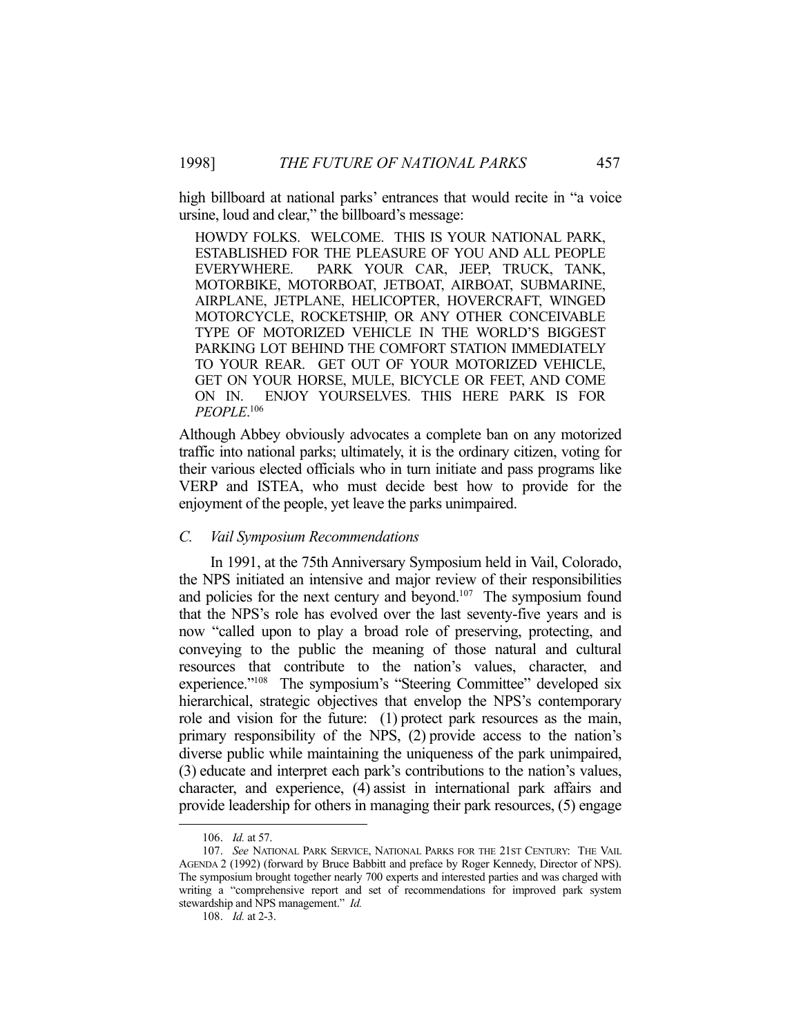high billboard at national parks' entrances that would recite in "a voice ursine, loud and clear," the billboard's message:

HOWDY FOLKS. WELCOME. THIS IS YOUR NATIONAL PARK, ESTABLISHED FOR THE PLEASURE OF YOU AND ALL PEOPLE EVERYWHERE. PARK YOUR CAR, JEEP, TRUCK, TANK, MOTORBIKE, MOTORBOAT, JETBOAT, AIRBOAT, SUBMARINE, AIRPLANE, JETPLANE, HELICOPTER, HOVERCRAFT, WINGED MOTORCYCLE, ROCKETSHIP, OR ANY OTHER CONCEIVABLE TYPE OF MOTORIZED VEHICLE IN THE WORLD'S BIGGEST PARKING LOT BEHIND THE COMFORT STATION IMMEDIATELY TO YOUR REAR. GET OUT OF YOUR MOTORIZED VEHICLE, GET ON YOUR HORSE, MULE, BICYCLE OR FEET, AND COME ON IN. ENJOY YOURSELVES. THIS HERE PARK IS FOR *PEOPLE*. 106

Although Abbey obviously advocates a complete ban on any motorized traffic into national parks; ultimately, it is the ordinary citizen, voting for their various elected officials who in turn initiate and pass programs like VERP and ISTEA, who must decide best how to provide for the enjoyment of the people, yet leave the parks unimpaired.

### *C. Vail Symposium Recommendations*

 In 1991, at the 75th Anniversary Symposium held in Vail, Colorado, the NPS initiated an intensive and major review of their responsibilities and policies for the next century and beyond.<sup>107</sup> The symposium found that the NPS's role has evolved over the last seventy-five years and is now "called upon to play a broad role of preserving, protecting, and conveying to the public the meaning of those natural and cultural resources that contribute to the nation's values, character, and experience."108 The symposium's "Steering Committee" developed six hierarchical, strategic objectives that envelop the NPS's contemporary role and vision for the future: (1) protect park resources as the main, primary responsibility of the NPS, (2) provide access to the nation's diverse public while maintaining the uniqueness of the park unimpaired, (3) educate and interpret each park's contributions to the nation's values, character, and experience, (4) assist in international park affairs and provide leadership for others in managing their park resources, (5) engage

 <sup>106.</sup> *Id.* at 57.

 <sup>107.</sup> *See* NATIONAL PARK SERVICE, NATIONAL PARKS FOR THE 21ST CENTURY: THE VAIL AGENDA 2 (1992) (forward by Bruce Babbitt and preface by Roger Kennedy, Director of NPS). The symposium brought together nearly 700 experts and interested parties and was charged with writing a "comprehensive report and set of recommendations for improved park system stewardship and NPS management." *Id.*

 <sup>108.</sup> *Id.* at 2-3.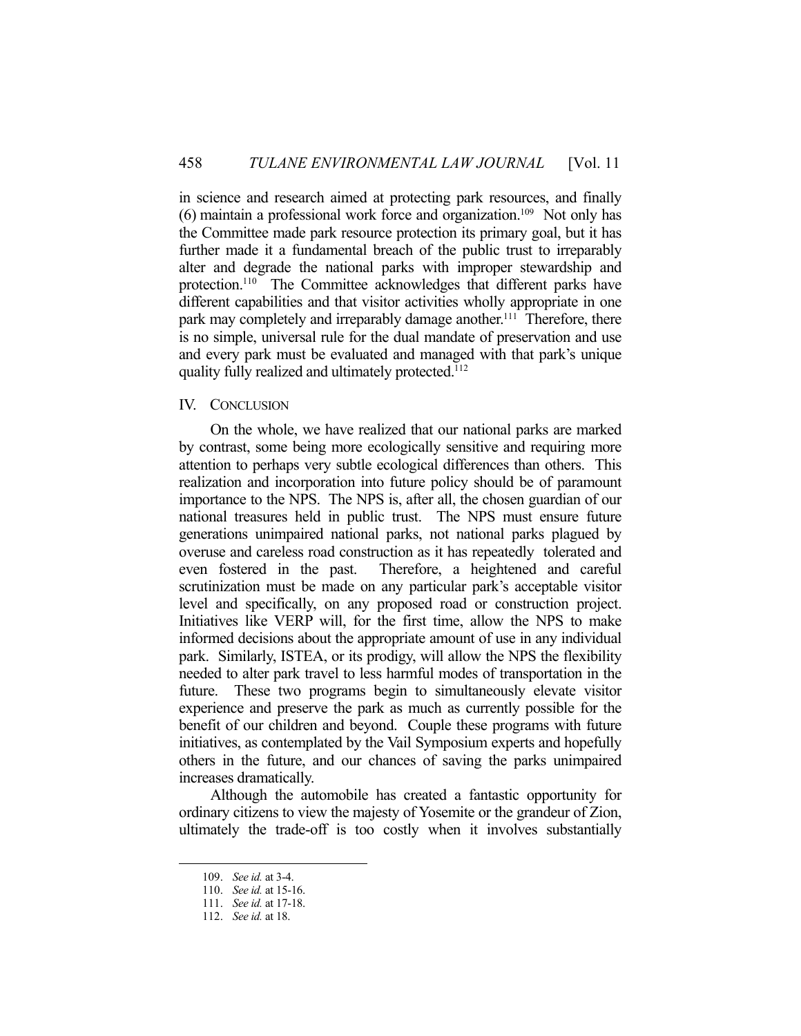in science and research aimed at protecting park resources, and finally  $(6)$  maintain a professional work force and organization.<sup>109</sup> Not only has the Committee made park resource protection its primary goal, but it has further made it a fundamental breach of the public trust to irreparably alter and degrade the national parks with improper stewardship and protection.<sup>110</sup> The Committee acknowledges that different parks have different capabilities and that visitor activities wholly appropriate in one park may completely and irreparably damage another.<sup>111</sup> Therefore, there is no simple, universal rule for the dual mandate of preservation and use and every park must be evaluated and managed with that park's unique quality fully realized and ultimately protected.112

#### IV. CONCLUSION

 On the whole, we have realized that our national parks are marked by contrast, some being more ecologically sensitive and requiring more attention to perhaps very subtle ecological differences than others. This realization and incorporation into future policy should be of paramount importance to the NPS. The NPS is, after all, the chosen guardian of our national treasures held in public trust. The NPS must ensure future generations unimpaired national parks, not national parks plagued by overuse and careless road construction as it has repeatedly tolerated and even fostered in the past. Therefore, a heightened and careful scrutinization must be made on any particular park's acceptable visitor level and specifically, on any proposed road or construction project. Initiatives like VERP will, for the first time, allow the NPS to make informed decisions about the appropriate amount of use in any individual park. Similarly, ISTEA, or its prodigy, will allow the NPS the flexibility needed to alter park travel to less harmful modes of transportation in the future. These two programs begin to simultaneously elevate visitor experience and preserve the park as much as currently possible for the benefit of our children and beyond. Couple these programs with future initiatives, as contemplated by the Vail Symposium experts and hopefully others in the future, and our chances of saving the parks unimpaired increases dramatically.

 Although the automobile has created a fantastic opportunity for ordinary citizens to view the majesty of Yosemite or the grandeur of Zion, ultimately the trade-off is too costly when it involves substantially

 <sup>109.</sup> *See id.* at 3-4.

 <sup>110.</sup> *See id.* at 15-16.

 <sup>111.</sup> *See id.* at 17-18.

 <sup>112.</sup> *See id.* at 18.